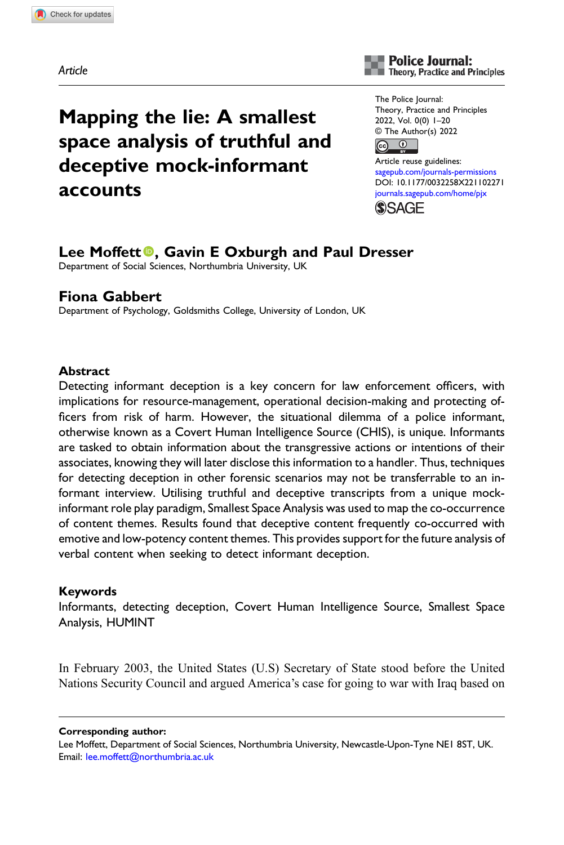Article

# Mapping the lie: A smallest space analysis of truthful and deceptive mock-informant accounts



The Police Journal: Theory, Practice and Principles 2022, Vol. 0(0) 1–20 © The Author(s) 2022



Article reuse guidelines: [sagepub.com/journals-permissions](https://uk.sagepub.com/en-gb/journals-permissions) DOI: [10.1177/0032258X221102271](https://doi.org/10.1177/0032258X221102271) [journals.sagepub.com/home/pjx](https://journals.sagepub.com/home/pjx) (S)SAGF

# Lee Moffett<sup>®</sup>, Gavin E Oxburgh and Paul Dresser

Department of Social Sciences, Northumbria University, UK

# Fiona Gabbert

Department of Psychology, Goldsmiths College, University of London, UK

# **Abstract**

Detecting informant deception is a key concern for law enforcement officers, with implications for resource-management, operational decision-making and protecting officers from risk of harm. However, the situational dilemma of a police informant, otherwise known as a Covert Human Intelligence Source (CHIS), is unique. Informants are tasked to obtain information about the transgressive actions or intentions of their associates, knowing they will later disclose this information to a handler. Thus, techniques for detecting deception in other forensic scenarios may not be transferrable to an informant interview. Utilising truthful and deceptive transcripts from a unique mockinformant role play paradigm, Smallest Space Analysis was used to map the co-occurrence of content themes. Results found that deceptive content frequently co-occurred with emotive and low-potency content themes. This provides support for the future analysis of verbal content when seeking to detect informant deception.

# Keywords

Informants, detecting deception, Covert Human Intelligence Source, Smallest Space Analysis, HUMINT

In February 2003, the United States (U.S) Secretary of State stood before the United Nations Security Council and argued America's case for going to war with Iraq based on

Corresponding author:

Lee Moffett, Department of Social Sciences, Northumbria University, Newcastle-Upon-Tyne NE1 8ST, UK. Email: [lee.moffett@northumbria.ac.uk](mailto:lee.moffett@northumbria.ac.uk)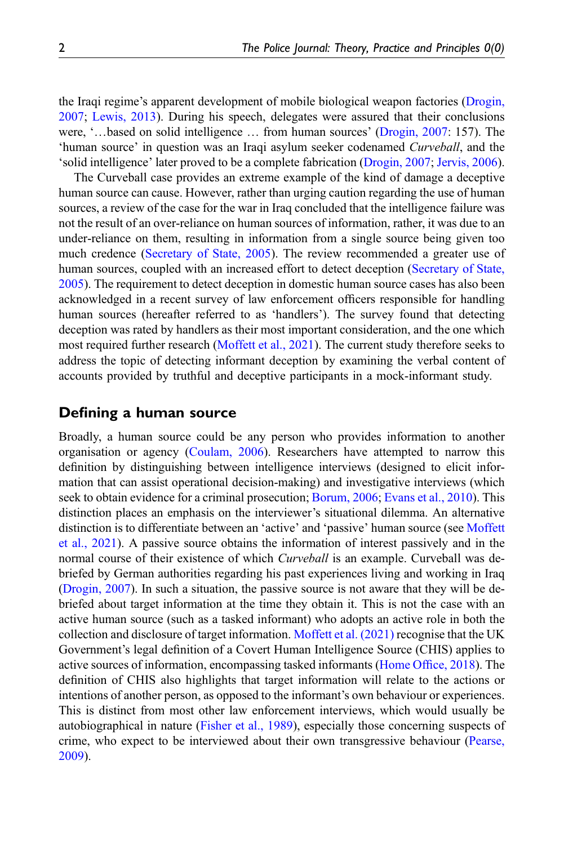the Iraqi regime's apparent development of mobile biological weapon factories ([Drogin,](#page-17-0) [2007;](#page-17-0) [Lewis, 2013\)](#page-18-0). During his speech, delegates were assured that their conclusions were, '…based on solid intelligence … from human sources' ([Drogin, 2007](#page-17-0): 157). The 'human source' in question was an Iraqi asylum seeker codenamed Curveball, and the 'solid intelligence' later proved to be a complete fabrication [\(Drogin, 2007](#page-17-0); [Jervis, 2006\)](#page-18-1).

The Curveball case provides an extreme example of the kind of damage a deceptive human source can cause. However, rather than urging caution regarding the use of human sources, a review of the case for the war in Iraq concluded that the intelligence failure was not the result of an over-reliance on human sources of information, rather, it was due to an under-reliance on them, resulting in information from a single source being given too much credence ([Secretary of State, 2005\)](#page-18-2). The review recommended a greater use of human sources, coupled with an increased effort to detect deception [\(Secretary of State,](#page-18-2) [2005\)](#page-18-2). The requirement to detect deception in domestic human source cases has also been acknowledged in a recent survey of law enforcement officers responsible for handling human sources (hereafter referred to as 'handlers'). The survey found that detecting deception was rated by handlers as their most important consideration, and the one which most required further research [\(Moffett et al., 2021\)](#page-18-3). The current study therefore seeks to address the topic of detecting informant deception by examining the verbal content of accounts provided by truthful and deceptive participants in a mock-informant study.

# Defining a human source

Broadly, a human source could be any person who provides information to another organisation or agency [\(Coulam, 2006](#page-17-1)). Researchers have attempted to narrow this definition by distinguishing between intelligence interviews (designed to elicit information that can assist operational decision-making) and investigative interviews (which seek to obtain evidence for a criminal prosecution; [Borum, 2006;](#page-16-0) [Evans et al., 2010\)](#page-17-2). This distinction places an emphasis on the interviewer's situational dilemma. An alternative distinction is to differentiate between an 'active' and 'passive' human source (see [Moffett](#page-18-3) [et al., 2021\)](#page-18-3). A passive source obtains the information of interest passively and in the normal course of their existence of which *Curveball* is an example. Curveball was debriefed by German authorities regarding his past experiences living and working in Iraq [\(Drogin, 2007\)](#page-17-0). In such a situation, the passive source is not aware that they will be debriefed about target information at the time they obtain it. This is not the case with an active human source (such as a tasked informant) who adopts an active role in both the collection and disclosure of target information. [Moffett et al. \(2021\)](#page-18-3) recognise that the UK Government's legal definition of a Covert Human Intelligence Source (CHIS) applies to active sources of information, encompassing tasked informants ([Home Of](#page-18-4)fice, 2018). The definition of CHIS also highlights that target information will relate to the actions or intentions of another person, as opposed to the informant's own behaviour or experiences. This is distinct from most other law enforcement interviews, which would usually be autobiographical in nature [\(Fisher et al., 1989\)](#page-17-3), especially those concerning suspects of crime, who expect to be interviewed about their own transgressive behaviour ([Pearse,](#page-18-5) [2009\)](#page-18-5).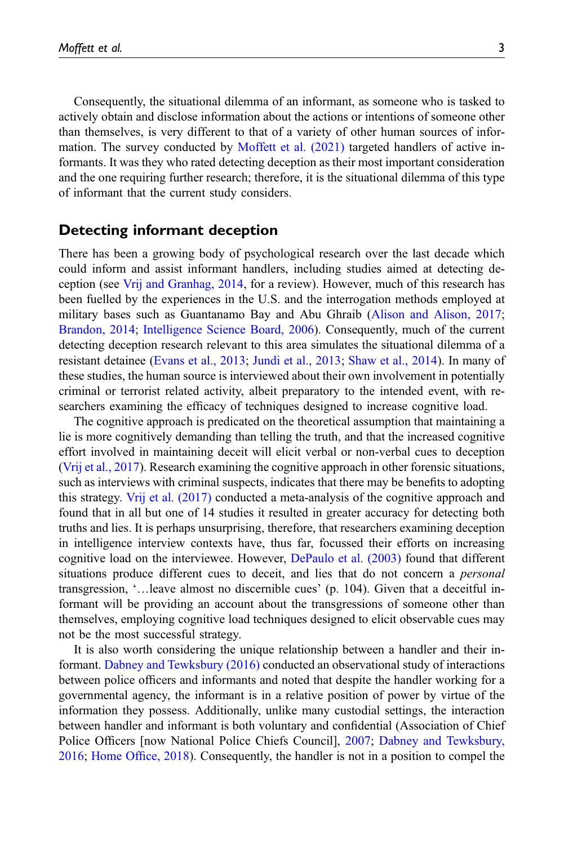Consequently, the situational dilemma of an informant, as someone who is tasked to actively obtain and disclose information about the actions or intentions of someone other than themselves, is very different to that of a variety of other human sources of infor-mation. The survey conducted by [Moffett et al. \(2021\)](#page-18-3) targeted handlers of active informants. It was they who rated detecting deception as their most important consideration and the one requiring further research; therefore, it is the situational dilemma of this type of informant that the current study considers.

# Detecting informant deception

There has been a growing body of psychological research over the last decade which could inform and assist informant handlers, including studies aimed at detecting deception (see [Vrij and Granhag, 2014](#page-19-0), for a review). However, much of this research has been fuelled by the experiences in the U.S. and the interrogation methods employed at military bases such as Guantanamo Bay and Abu Ghraib [\(Alison and Alison, 2017;](#page-16-1) [Brandon, 2014](#page-16-2); [Intelligence Science Board, 2006\)](#page-18-6). Consequently, much of the current detecting deception research relevant to this area simulates the situational dilemma of a resistant detainee ([Evans et al., 2013;](#page-17-4) [Jundi et al., 2013;](#page-18-7) [Shaw et al., 2014](#page-19-1)). In many of these studies, the human source is interviewed about their own involvement in potentially criminal or terrorist related activity, albeit preparatory to the intended event, with researchers examining the efficacy of techniques designed to increase cognitive load.

The cognitive approach is predicated on the theoretical assumption that maintaining a lie is more cognitively demanding than telling the truth, and that the increased cognitive effort involved in maintaining deceit will elicit verbal or non-verbal cues to deception [\(Vrij et al., 2017\)](#page-19-2). Research examining the cognitive approach in other forensic situations, such as interviews with criminal suspects, indicates that there may be benefits to adopting this strategy. [Vrij et al. \(2017\)](#page-19-2) conducted a meta-analysis of the cognitive approach and found that in all but one of 14 studies it resulted in greater accuracy for detecting both truths and lies. It is perhaps unsurprising, therefore, that researchers examining deception in intelligence interview contexts have, thus far, focussed their efforts on increasing cognitive load on the interviewee. However, [DePaulo et al. \(2003\)](#page-17-5) found that different situations produce different cues to deceit, and lies that do not concern a personal transgression, '…leave almost no discernible cues' (p. 104). Given that a deceitful informant will be providing an account about the transgressions of someone other than themselves, employing cognitive load techniques designed to elicit observable cues may not be the most successful strategy.

It is also worth considering the unique relationship between a handler and their informant. [Dabney and Tewksbury \(2016\)](#page-17-6) conducted an observational study of interactions between police officers and informants and noted that despite the handler working for a governmental agency, the informant is in a relative position of power by virtue of the information they possess. Additionally, unlike many custodial settings, the interaction between handler and informant is both voluntary and confidential (Association of Chief Police Officers [now National Police Chiefs Council], [2007;](#page-16-3) [Dabney and Tewksbury,](#page-17-6) [2016;](#page-17-6) [Home Of](#page-18-4)fice, 2018). Consequently, the handler is not in a position to compel the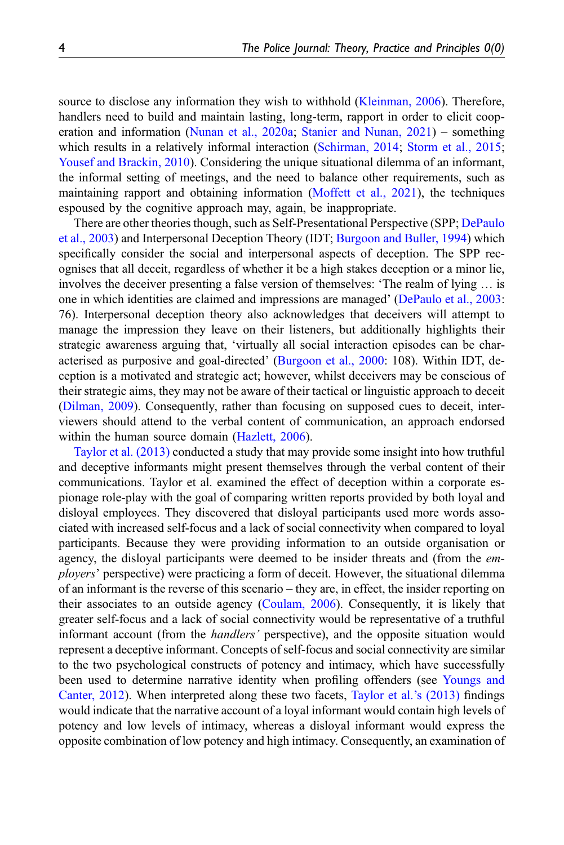source to disclose any information they wish to withhold ([Kleinman, 2006](#page-18-8)). Therefore, handlers need to build and maintain lasting, long-term, rapport in order to elicit cooperation and information ([Nunan et al., 2020a](#page-18-9); [Stanier and Nunan, 2021](#page-19-3)) – something which results in a relatively informal interaction [\(Schirman, 2014](#page-18-10); [Storm et al., 2015;](#page-19-4) [Yousef and Brackin, 2010](#page-19-5)). Considering the unique situational dilemma of an informant, the informal setting of meetings, and the need to balance other requirements, such as maintaining rapport and obtaining information [\(Moffett et al., 2021](#page-18-3)), the techniques espoused by the cognitive approach may, again, be inappropriate.

There are other theories though, such as Self-Presentational Perspective (SPP; [DePaulo](#page-17-5) [et al., 2003\)](#page-17-5) and Interpersonal Deception Theory (IDT; [Burgoon and Buller, 1994](#page-16-4)) which specifically consider the social and interpersonal aspects of deception. The SPP recognises that all deceit, regardless of whether it be a high stakes deception or a minor lie, involves the deceiver presenting a false version of themselves: 'The realm of lying … is one in which identities are claimed and impressions are managed' ([DePaulo et al., 2003:](#page-17-5) 76). Interpersonal deception theory also acknowledges that deceivers will attempt to manage the impression they leave on their listeners, but additionally highlights their strategic awareness arguing that, 'virtually all social interaction episodes can be characterised as purposive and goal-directed' ([Burgoon et al., 2000:](#page-17-7) 108). Within IDT, deception is a motivated and strategic act; however, whilst deceivers may be conscious of their strategic aims, they may not be aware of their tactical or linguistic approach to deceit [\(Dilman, 2009\)](#page-17-8). Consequently, rather than focusing on supposed cues to deceit, interviewers should attend to the verbal content of communication, an approach endorsed within the human source domain ([Hazlett, 2006\)](#page-18-11).

[Taylor et al. \(2013\)](#page-19-6) conducted a study that may provide some insight into how truthful and deceptive informants might present themselves through the verbal content of their communications. Taylor et al. examined the effect of deception within a corporate espionage role-play with the goal of comparing written reports provided by both loyal and disloyal employees. They discovered that disloyal participants used more words associated with increased self-focus and a lack of social connectivity when compared to loyal participants. Because they were providing information to an outside organisation or agency, the disloyal participants were deemed to be insider threats and (from the employers' perspective) were practicing a form of deceit. However, the situational dilemma of an informant is the reverse of this scenario – they are, in effect, the insider reporting on their associates to an outside agency ([Coulam, 2006\)](#page-17-1). Consequently, it is likely that greater self-focus and a lack of social connectivity would be representative of a truthful informant account (from the *handlers'* perspective), and the opposite situation would represent a deceptive informant. Concepts of self-focus and social connectivity are similar to the two psychological constructs of potency and intimacy, which have successfully been used to determine narrative identity when profiling offenders (see [Youngs and](#page-19-7) [Canter, 2012\)](#page-19-7). When interpreted along these two facets, [Taylor et al.](#page-19-6)'s (2013) findings would indicate that the narrative account of a loyal informant would contain high levels of potency and low levels of intimacy, whereas a disloyal informant would express the opposite combination of low potency and high intimacy. Consequently, an examination of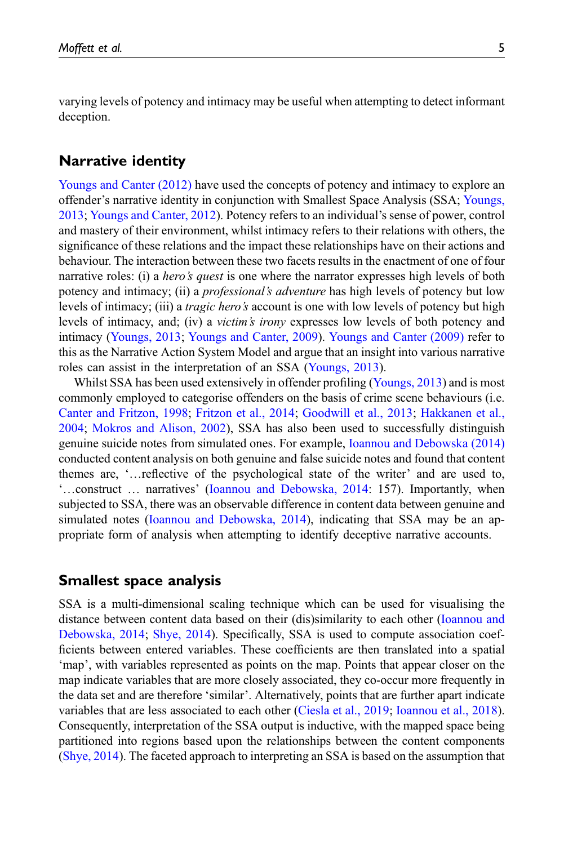varying levels of potency and intimacy may be useful when attempting to detect informant deception.

# Narrative identity

[Youngs and Canter \(2012\)](#page-19-7) have used the concepts of potency and intimacy to explore an offender's narrative identity in conjunction with Smallest Space Analysis (SSA; [Youngs,](#page-19-8) [2013;](#page-19-8) [Youngs and Canter, 2012\)](#page-19-7). Potency refers to an individual's sense of power, control and mastery of their environment, whilst intimacy refers to their relations with others, the significance of these relations and the impact these relationships have on their actions and behaviour. The interaction between these two facets results in the enactment of one of four narrative roles: (i) a *hero's quest* is one where the narrator expresses high levels of both potency and intimacy; (ii) a *professional's adventure* has high levels of potency but low levels of intimacy; (iii) a *tragic hero's* account is one with low levels of potency but high levels of intimacy, and; (iv) a victim's irony expresses low levels of both potency and intimacy ([Youngs, 2013](#page-19-8); [Youngs and Canter, 2009\)](#page-19-9). [Youngs and Canter \(2009\)](#page-19-9) refer to this as the Narrative Action System Model and argue that an insight into various narrative roles can assist in the interpretation of an SSA ([Youngs, 2013\)](#page-19-8).

Whilst SSA has been used extensively in offender profiling ([Youngs, 2013](#page-19-8)) and is most commonly employed to categorise offenders on the basis of crime scene behaviours (i.e. [Canter and Fritzon, 1998;](#page-17-9) [Fritzon et al., 2014](#page-17-10); [Goodwill et al., 2013](#page-17-11); [Hakkanen et al.,](#page-17-12) [2004;](#page-17-12) [Mokros and Alison, 2002](#page-18-12)), SSA has also been used to successfully distinguish genuine suicide notes from simulated ones. For example, [Ioannou and Debowska \(2014\)](#page-18-13) conducted content analysis on both genuine and false suicide notes and found that content themes are, '…reflective of the psychological state of the writer' and are used to, '…construct … narratives' [\(Ioannou and Debowska, 2014](#page-18-13): 157). Importantly, when subjected to SSA, there was an observable difference in content data between genuine and simulated notes ([Ioannou and Debowska, 2014\)](#page-18-13), indicating that SSA may be an appropriate form of analysis when attempting to identify deceptive narrative accounts.

# Smallest space analysis

SSA is a multi-dimensional scaling technique which can be used for visualising the distance between content data based on their (dis)similarity to each other [\(Ioannou and](#page-18-13) [Debowska, 2014;](#page-18-13) [Shye, 2014\)](#page-19-10). Specifically, SSA is used to compute association coefficients between entered variables. These coefficients are then translated into a spatial 'map', with variables represented as points on the map. Points that appear closer on the map indicate variables that are more closely associated, they co-occur more frequently in the data set and are therefore 'similar'. Alternatively, points that are further apart indicate variables that are less associated to each other ([Ciesla et al., 2019;](#page-17-13) [Ioannou et al., 2018\)](#page-18-14). Consequently, interpretation of the SSA output is inductive, with the mapped space being partitioned into regions based upon the relationships between the content components [\(Shye, 2014](#page-19-10)). The faceted approach to interpreting an SSA is based on the assumption that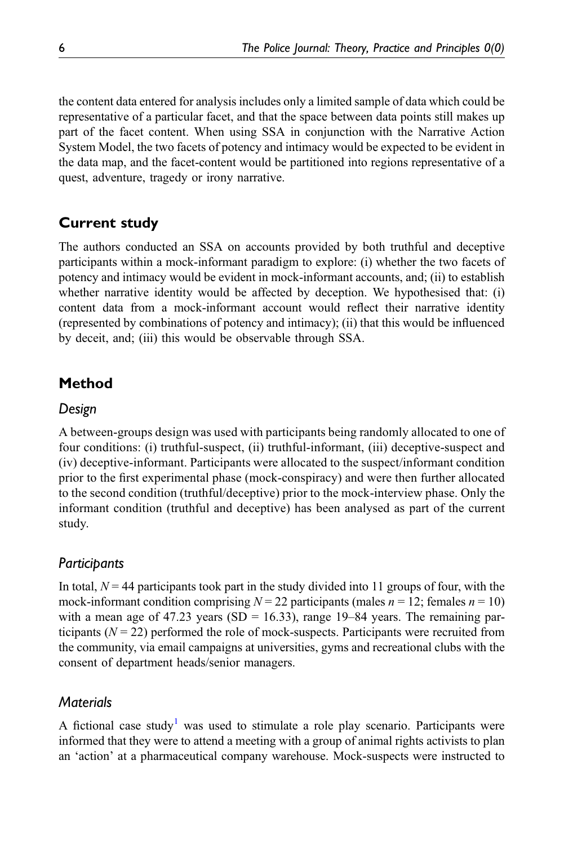the content data entered for analysis includes only a limited sample of data which could be representative of a particular facet, and that the space between data points still makes up part of the facet content. When using SSA in conjunction with the Narrative Action System Model, the two facets of potency and intimacy would be expected to be evident in the data map, and the facet-content would be partitioned into regions representative of a quest, adventure, tragedy or irony narrative.

# Current study

The authors conducted an SSA on accounts provided by both truthful and deceptive participants within a mock-informant paradigm to explore: (i) whether the two facets of potency and intimacy would be evident in mock-informant accounts, and; (ii) to establish whether narrative identity would be affected by deception. We hypothesised that: (i) content data from a mock-informant account would reflect their narrative identity (represented by combinations of potency and intimacy); (ii) that this would be influenced by deceit, and; (iii) this would be observable through SSA.

# Method

# Design

A between-groups design was used with participants being randomly allocated to one of four conditions: (i) truthful-suspect, (ii) truthful-informant, (iii) deceptive-suspect and (iv) deceptive-informant. Participants were allocated to the suspect/informant condition prior to the first experimental phase (mock-conspiracy) and were then further allocated to the second condition (truthful/deceptive) prior to the mock-interview phase. Only the informant condition (truthful and deceptive) has been analysed as part of the current study.

# Participants

In total,  $N = 44$  participants took part in the study divided into 11 groups of four, with the mock-informant condition comprising  $N = 22$  participants (males  $n = 12$ ; females  $n = 10$ ) with a mean age of 47.23 years (SD = 16.33), range 19–84 years. The remaining participants  $(N = 22)$  performed the role of mock-suspects. Participants were recruited from the community, via email campaigns at universities, gyms and recreational clubs with the consent of department heads/senior managers.

# **Materials**

A fictional case study<sup>[1](#page-16-5)</sup> was used to stimulate a role play scenario. Participants were informed that they were to attend a meeting with a group of animal rights activists to plan an 'action' at a pharmaceutical company warehouse. Mock-suspects were instructed to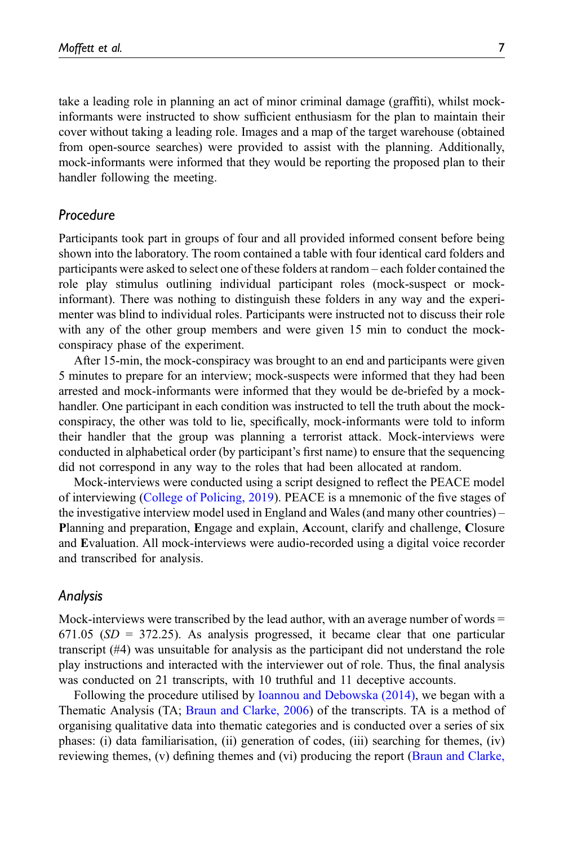take a leading role in planning an act of minor criminal damage (graffiti), whilst mockinformants were instructed to show sufficient enthusiasm for the plan to maintain their cover without taking a leading role. Images and a map of the target warehouse (obtained from open-source searches) were provided to assist with the planning. Additionally, mock-informants were informed that they would be reporting the proposed plan to their handler following the meeting.

### Procedure

Participants took part in groups of four and all provided informed consent before being shown into the laboratory. The room contained a table with four identical card folders and participants were asked to select one of these folders at random – each folder contained the role play stimulus outlining individual participant roles (mock-suspect or mockinformant). There was nothing to distinguish these folders in any way and the experimenter was blind to individual roles. Participants were instructed not to discuss their role with any of the other group members and were given 15 min to conduct the mockconspiracy phase of the experiment.

After 15-min, the mock-conspiracy was brought to an end and participants were given 5 minutes to prepare for an interview; mock-suspects were informed that they had been arrested and mock-informants were informed that they would be de-briefed by a mockhandler. One participant in each condition was instructed to tell the truth about the mockconspiracy, the other was told to lie, specifically, mock-informants were told to inform their handler that the group was planning a terrorist attack. Mock-interviews were conducted in alphabetical order (by participant's first name) to ensure that the sequencing did not correspond in any way to the roles that had been allocated at random.

Mock-interviews were conducted using a script designed to reflect the PEACE model of interviewing ([College of Policing, 2019](#page-17-14)). PEACE is a mnemonic of the five stages of the investigative interview model used in England and Wales (and many other countries) – Planning and preparation, Engage and explain, Account, clarify and challenge, Closure and Evaluation. All mock-interviews were audio-recorded using a digital voice recorder and transcribed for analysis.

#### Analysis

Mock-interviews were transcribed by the lead author, with an average number of words  $=$ 671.05 ( $SD = 372.25$ ). As analysis progressed, it became clear that one particular transcript (#4) was unsuitable for analysis as the participant did not understand the role play instructions and interacted with the interviewer out of role. Thus, the final analysis was conducted on 21 transcripts, with 10 truthful and 11 deceptive accounts.

Following the procedure utilised by [Ioannou and Debowska \(2014\),](#page-18-13) we began with a Thematic Analysis (TA; [Braun and Clarke, 2006\)](#page-16-6) of the transcripts. TA is a method of organising qualitative data into thematic categories and is conducted over a series of six phases: (i) data familiarisation, (ii) generation of codes, (iii) searching for themes, (iv) reviewing themes, (v) defining themes and (vi) producing the report [\(Braun and Clarke,](#page-16-6)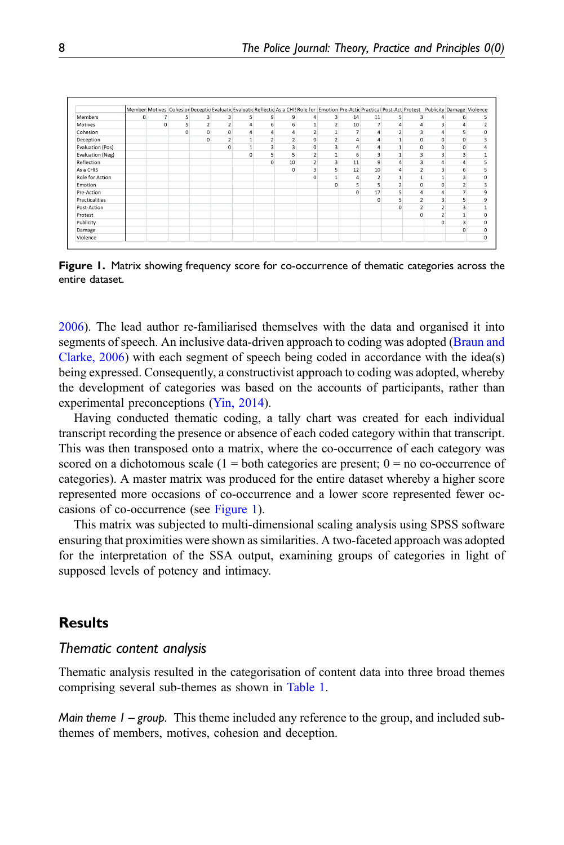|                  |          |          |          |                |                |                | Member: Motives Cohesion Deceptic Evaluatic Evaluatic Reflectic As a CHISRole for Emotion Pre-Actic Practical Post-Acti Protest Publicity Damage Violence |                |   |                |                |                  |                |                         |                |   |  |
|------------------|----------|----------|----------|----------------|----------------|----------------|-----------------------------------------------------------------------------------------------------------------------------------------------------------|----------------|---|----------------|----------------|------------------|----------------|-------------------------|----------------|---|--|
| <b>Members</b>   | $\Omega$ | 7        | 5        | 3              | 3              | $\mathsf{S}$   | 9                                                                                                                                                         | 9              | 4 | 3              | 14             | 11               | $\mathsf{S}$   | $\overline{\mathbf{3}}$ | 4              | 6 |  |
| Motives          |          | $\Omega$ | 5        | $\overline{2}$ | $\overline{2}$ | $\overline{4}$ | 6                                                                                                                                                         | 6              |   | $\overline{2}$ | 10             | $\overline{7}$   | $\overline{4}$ | 4                       | 3              |   |  |
| Cohesion         |          |          | $\Omega$ | $\mathbf 0$    | $\mathbf 0$    | $\overline{a}$ |                                                                                                                                                           | 4              |   |                | $\overline{7}$ | 4                |                | 3                       |                |   |  |
| Deception        |          |          |          | $\mathbf{0}$   | $\bar{z}$      |                |                                                                                                                                                           | $\overline{2}$ |   |                | 4              | $\boldsymbol{A}$ |                | $\mathbf 0$             | 0              |   |  |
| Evaluation (Pos) |          |          |          |                | $\mathbf 0$    |                |                                                                                                                                                           | 3              | 0 |                | 4              | 4                |                | 0                       | 0              |   |  |
| Evaluation (Neg) |          |          |          |                |                | $\mathbf{0}$   |                                                                                                                                                           | 5              |   |                | 6              | 3                |                | 3                       | 3              |   |  |
| Reflection       |          |          |          |                |                |                | $\Omega$                                                                                                                                                  | 10             |   | 3              | 11             | 9                | Δ              | 3                       |                |   |  |
| As a CHIS        |          |          |          |                |                |                |                                                                                                                                                           | $\circ$        |   | 5              | 12             | 10               | 4              | $\overline{a}$          | 3              | 6 |  |
| Role for Action  |          |          |          |                |                |                |                                                                                                                                                           |                |   |                | 4              | $\,2\,$          |                |                         |                |   |  |
| Emotion          |          |          |          |                |                |                |                                                                                                                                                           |                |   |                |                | 5                | $\overline{2}$ | 0                       | $\mathbf 0$    |   |  |
| Pre-Action       |          |          |          |                |                |                |                                                                                                                                                           |                |   |                | 0              | 17               | 5              | Δ                       |                |   |  |
| Practicalities   |          |          |          |                |                |                |                                                                                                                                                           |                |   |                |                | $\mathbf 0$      | 5              | $\overline{2}$          | $\overline{3}$ |   |  |
| Post-Action      |          |          |          |                |                |                |                                                                                                                                                           |                |   |                |                |                  | $\Omega$       |                         |                |   |  |
| Protest          |          |          |          |                |                |                |                                                                                                                                                           |                |   |                |                |                  |                | $\Omega$                |                |   |  |
| Publicity        |          |          |          |                |                |                |                                                                                                                                                           |                |   |                |                |                  |                |                         | C              |   |  |
| Damage           |          |          |          |                |                |                |                                                                                                                                                           |                |   |                |                |                  |                |                         |                |   |  |
| Violence         |          |          |          |                |                |                |                                                                                                                                                           |                |   |                |                |                  |                |                         |                |   |  |

<span id="page-7-0"></span>Figure 1. Matrix showing frequency score for co-occurrence of thematic categories across the entire dataset.

[2006\)](#page-16-6). The lead author re-familiarised themselves with the data and organised it into segments of speech. An inclusive data-driven approach to coding was adopted ([Braun and](#page-16-6) [Clarke, 2006\)](#page-16-6) with each segment of speech being coded in accordance with the idea(s) being expressed. Consequently, a constructivist approach to coding was adopted, whereby the development of categories was based on the accounts of participants, rather than experimental preconceptions [\(Yin, 2014](#page-19-11)).

Having conducted thematic coding, a tally chart was created for each individual transcript recording the presence or absence of each coded category within that transcript. This was then transposed onto a matrix, where the co-occurrence of each category was scored on a dichotomous scale  $(1 = \text{both categories are present}; 0 = \text{no co-occurrence of})$ categories). A master matrix was produced for the entire dataset whereby a higher score represented more occasions of co-occurrence and a lower score represented fewer occasions of co-occurrence (see [Figure 1](#page-7-0)).

This matrix was subjected to multi-dimensional scaling analysis using SPSS software ensuring that proximities were shown as similarities. A two-faceted approach was adopted for the interpretation of the SSA output, examining groups of categories in light of supposed levels of potency and intimacy.

# **Results**

#### Thematic content analysis

Thematic analysis resulted in the categorisation of content data into three broad themes comprising several sub-themes as shown in [Table 1](#page-8-0).

*Main theme*  $1 - \text{group}$ *.* This theme included any reference to the group, and included subthemes of members, motives, cohesion and deception.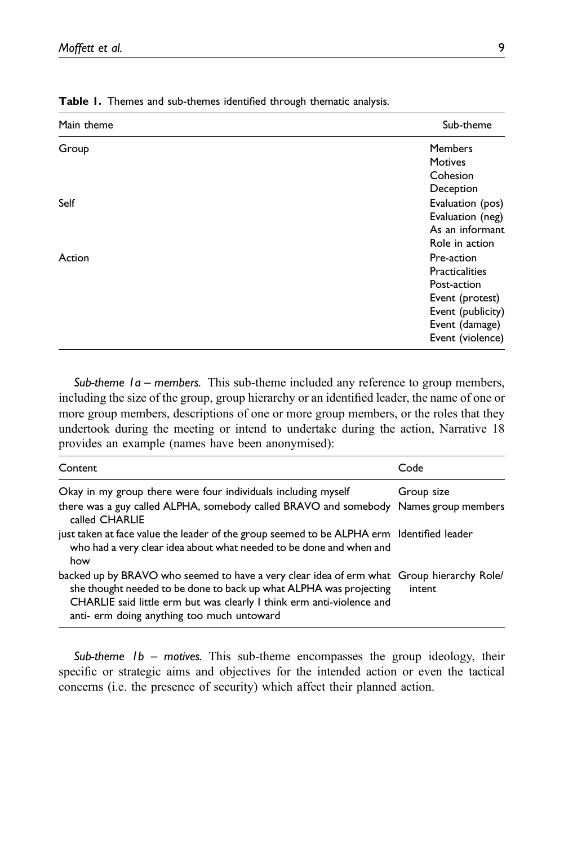| Main theme | Sub-theme         |
|------------|-------------------|
| Group      | <b>Members</b>    |
|            | <b>Motives</b>    |
|            | Cohesion          |
|            | Deception         |
| Self       | Evaluation (pos)  |
|            | Evaluation (neg)  |
|            | As an informant   |
|            | Role in action    |
| Action     | Pre-action        |
|            | Practicalities    |
|            | Post-action       |
|            | Event (protest)   |
|            | Event (publicity) |
|            | Event (damage)    |
|            | Event (violence)  |

<span id="page-8-0"></span>Table 1. Themes and sub-themes identified through thematic analysis.

Sub-theme  $1a$  – members. This sub-theme included any reference to group members, including the size of the group, group hierarchy or an identified leader, the name of one or more group members, descriptions of one or more group members, or the roles that they undertook during the meeting or intend to undertake during the action, Narrative 18 provides an example (names have been anonymised):

| Content                                                                                                                                                                                                                                                                                | Code       |
|----------------------------------------------------------------------------------------------------------------------------------------------------------------------------------------------------------------------------------------------------------------------------------------|------------|
| Okay in my group there were four individuals including myself                                                                                                                                                                                                                          | Group size |
| there was a guy called ALPHA, somebody called BRAVO and somebody Names group members<br>called CHARLIE                                                                                                                                                                                 |            |
| just taken at face value the leader of the group seemed to be ALPHA erm Identified leader<br>who had a very clear idea about what needed to be done and when and<br>how                                                                                                                |            |
| backed up by BRAVO who seemed to have a very clear idea of erm what Group hierarchy Role/<br>she thought needed to be done to back up what ALPHA was projecting<br>CHARLIE said little erm but was clearly I think erm anti-violence and<br>anti- erm doing anything too much untoward | intent     |

Sub-theme  $1b$  – motives. This sub-theme encompasses the group ideology, their specific or strategic aims and objectives for the intended action or even the tactical concerns (i.e. the presence of security) which affect their planned action.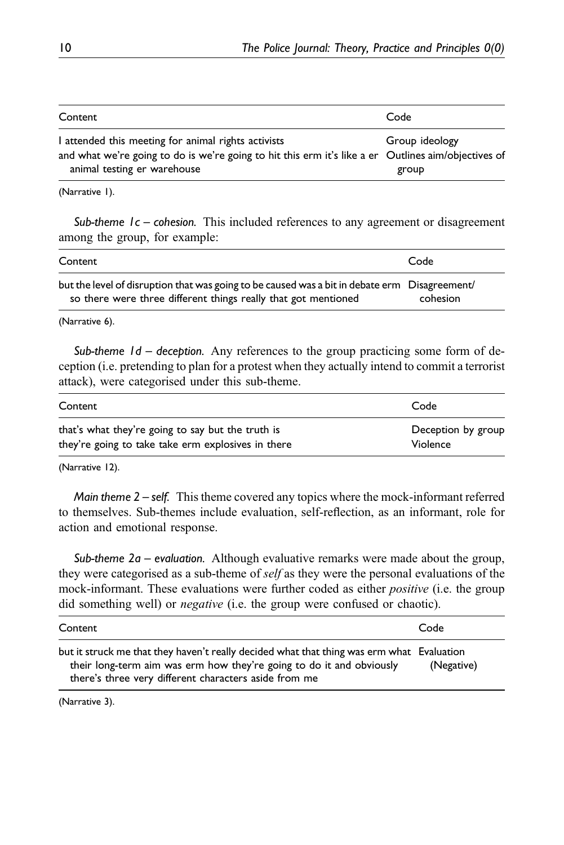| Content                                                                                                                                                                                   | Code                    |
|-------------------------------------------------------------------------------------------------------------------------------------------------------------------------------------------|-------------------------|
| I attended this meeting for animal rights activists<br>and what we're going to do is we're going to hit this erm it's like a er Outlines aim/objectives of<br>animal testing er warehouse | Group ideology<br>group |

(Narrative 1).

Sub-theme  $1c$  – cohesion. This included references to any agreement or disagreement among the group, for example:

| Content                                                                                                                                                         | Code     |
|-----------------------------------------------------------------------------------------------------------------------------------------------------------------|----------|
| but the level of disruption that was going to be caused was a bit in debate erm Disagreement/<br>so there were three different things really that got mentioned | cohesion |

(Narrative 6).

Sub-theme  $1d$  – deception. Any references to the group practicing some form of deception (i.e. pretending to plan for a protest when they actually intend to commit a terrorist attack), were categorised under this sub-theme.

| Content                                            | Code               |
|----------------------------------------------------|--------------------|
| that's what they're going to say but the truth is  | Deception by group |
| they're going to take take erm explosives in there | Violence           |

(Narrative 12).

*Main theme*  $2 - \text{self}$ *.* This theme covered any topics where the mock-informant referred to themselves. Sub-themes include evaluation, self-reflection, as an informant, role for action and emotional response.

Sub-theme  $2a$  – evaluation. Although evaluative remarks were made about the group, they were categorised as a sub-theme of self as they were the personal evaluations of the mock-informant. These evaluations were further coded as either *positive* (i.e. the group did something well) or negative (i.e. the group were confused or chaotic).

| Content                                                                                                                                                                                                                    | Code       |
|----------------------------------------------------------------------------------------------------------------------------------------------------------------------------------------------------------------------------|------------|
| but it struck me that they haven't really decided what that thing was erm what Evaluation<br>their long-term aim was erm how they're going to do it and obviously<br>there's three very different characters aside from me | (Negative) |

(Narrative 3).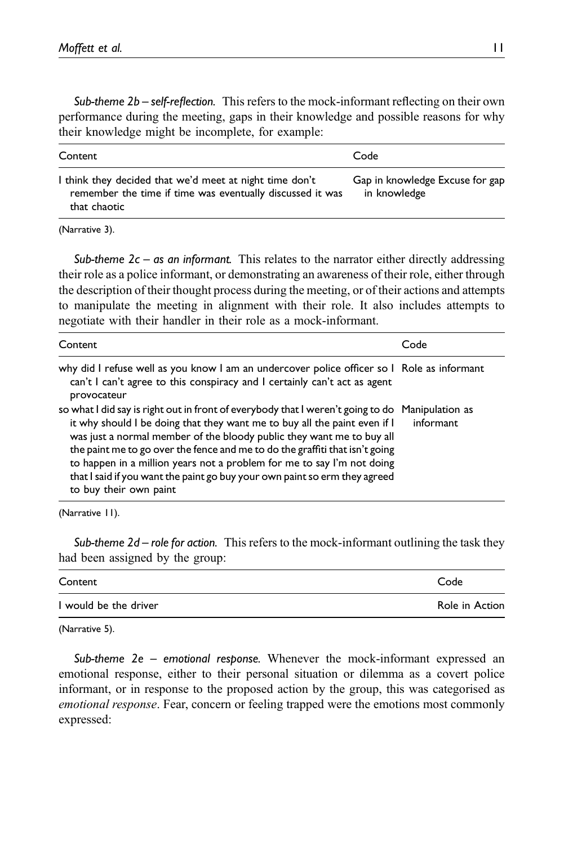Sub-theme  $2b$  – self-reflection. This refers to the mock-informant reflecting on their own performance during the meeting, gaps in their knowledge and possible reasons for why their knowledge might be incomplete, for example:

| Content                                                                                                                              | Code                                            |
|--------------------------------------------------------------------------------------------------------------------------------------|-------------------------------------------------|
| I think they decided that we'd meet at night time don't<br>remember the time if time was eventually discussed it was<br>that chaotic | Gap in knowledge Excuse for gap<br>in knowledge |

(Narrative 3).

Sub-theme  $2c - as$  an informant. This relates to the narrator either directly addressing their role as a police informant, or demonstrating an awareness of their role, either through the description of their thought process during the meeting, or of their actions and attempts to manipulate the meeting in alignment with their role. It also includes attempts to negotiate with their handler in their role as a mock-informant.

| Content                                                                                                                                                                                                                                                                                                                                                                                                                                                                                                                 | Code      |
|-------------------------------------------------------------------------------------------------------------------------------------------------------------------------------------------------------------------------------------------------------------------------------------------------------------------------------------------------------------------------------------------------------------------------------------------------------------------------------------------------------------------------|-----------|
| why did I refuse well as you know I am an undercover police officer so I Role as informant<br>can't I can't agree to this conspiracy and I certainly can't act as agent<br>provocateur                                                                                                                                                                                                                                                                                                                                  |           |
| so what I did say is right out in front of everybody that I weren't going to do Manipulation as<br>it why should I be doing that they want me to buy all the paint even if I<br>was just a normal member of the bloody public they want me to buy all<br>the paint me to go over the fence and me to do the graffiti that isn't going<br>to happen in a million years not a problem for me to say I'm not doing<br>that I said if you want the paint go buy your own paint so erm they agreed<br>to buy their own paint | informant |

(Narrative 11).

Sub-theme  $2d$  – role for action. This refers to the mock-informant outlining the task they had been assigned by the group:

| Content               | Code           |
|-----------------------|----------------|
| I would be the driver | Role in Action |

(Narrative 5).

Sub-theme 2e – emotional response. Whenever the mock-informant expressed an emotional response, either to their personal situation or dilemma as a covert police informant, or in response to the proposed action by the group, this was categorised as emotional response. Fear, concern or feeling trapped were the emotions most commonly expressed: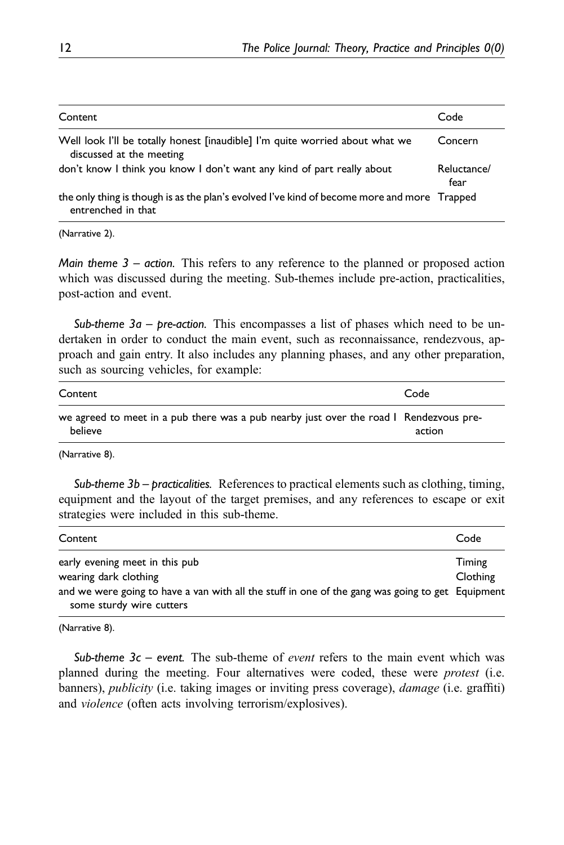| Content                                                                                                           | Code                |
|-------------------------------------------------------------------------------------------------------------------|---------------------|
| Well look I'll be totally honest [inaudible] I'm quite worried about what we<br>discussed at the meeting          | Concern             |
| don't know I think you know I don't want any kind of part really about                                            | Reluctance/<br>fear |
| the only thing is though is as the plan's evolved I've kind of become more and more Trapped<br>entrenched in that |                     |

(Narrative 2).

*Main theme*  $3 - action$ *.* This refers to any reference to the planned or proposed action which was discussed during the meeting. Sub-themes include pre-action, practicalities, post-action and event.

Sub-theme  $3a$  – pre-action. This encompasses a list of phases which need to be undertaken in order to conduct the main event, such as reconnaissance, rendezvous, approach and gain entry. It also includes any planning phases, and any other preparation, such as sourcing vehicles, for example:

| Content                                                                                           | Code   |
|---------------------------------------------------------------------------------------------------|--------|
| we agreed to meet in a pub there was a pub nearby just over the road I Rendezvous pre-<br>believe | action |

(Narrative 8).

Sub-theme  $3b$  – practicalities. References to practical elements such as clothing, timing, equipment and the layout of the target premises, and any references to escape or exit strategies were included in this sub-theme.

| Content                                                                                                                                                                                 | Code               |
|-----------------------------------------------------------------------------------------------------------------------------------------------------------------------------------------|--------------------|
| early evening meet in this pub<br>wearing dark clothing<br>and we were going to have a van with all the stuff in one of the gang was going to get Equipment<br>some sturdy wire cutters | Timing<br>Clothing |

(Narrative 8).

Sub-theme  $3c$  – event. The sub-theme of *event* refers to the main event which was planned during the meeting. Four alternatives were coded, these were *protest* (i.e. banners), publicity (i.e. taking images or inviting press coverage), damage (i.e. graffiti) and violence (often acts involving terrorism/explosives).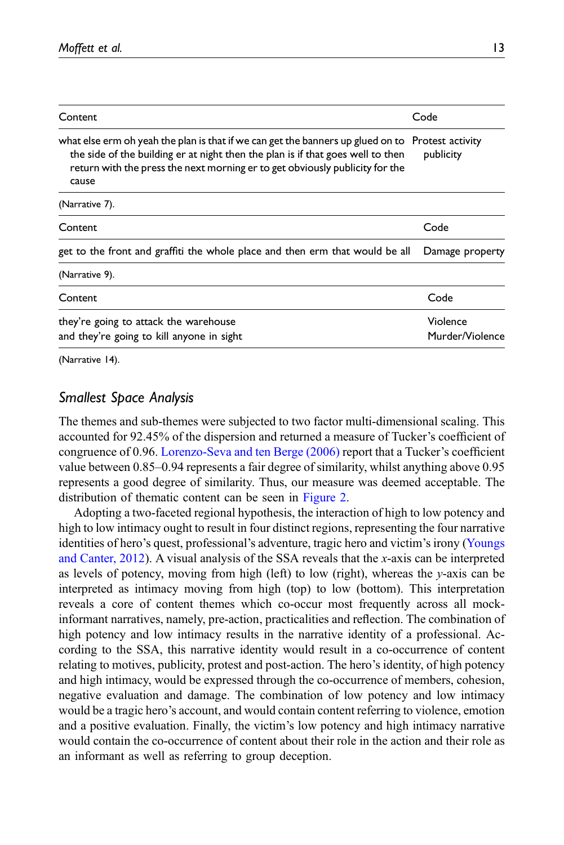| Content                                                                                                                                                                                                                                                                      | Code                        |
|------------------------------------------------------------------------------------------------------------------------------------------------------------------------------------------------------------------------------------------------------------------------------|-----------------------------|
| what else erm oh yeah the plan is that if we can get the banners up glued on to Protest activity<br>the side of the building er at night then the plan is if that goes well to then<br>return with the press the next morning er to get obviously publicity for the<br>cause | publicity                   |
| (Narrative 7).                                                                                                                                                                                                                                                               |                             |
| Content                                                                                                                                                                                                                                                                      | Code                        |
| get to the front and graffiti the whole place and then erm that would be all                                                                                                                                                                                                 | Damage property             |
| (Narrative 9).                                                                                                                                                                                                                                                               |                             |
| Content                                                                                                                                                                                                                                                                      | Code                        |
| they're going to attack the warehouse<br>and they're going to kill anyone in sight                                                                                                                                                                                           | Violence<br>Murder/Violence |

(Narrative 14).

# Smallest Space Analysis

The themes and sub-themes were subjected to two factor multi-dimensional scaling. This accounted for 92.45% of the dispersion and returned a measure of Tucker's coefficient of congruence of 0.96. [Lorenzo-Seva and ten Berge \(2006\)](#page-18-15) report that a Tucker's coefficient value between 0.85–0.94 represents a fair degree of similarity, whilst anything above 0.95 represents a good degree of similarity. Thus, our measure was deemed acceptable. The distribution of thematic content can be seen in [Figure 2.](#page-13-0)

Adopting a two-faceted regional hypothesis, the interaction of high to low potency and high to low intimacy ought to result in four distinct regions, representing the four narrative identities of hero's quest, professional's adventure, tragic hero and victim's irony [\(Youngs](#page-19-7) [and Canter, 2012\)](#page-19-7). A visual analysis of the SSA reveals that the x-axis can be interpreted as levels of potency, moving from high (left) to low (right), whereas the y-axis can be interpreted as intimacy moving from high (top) to low (bottom). This interpretation reveals a core of content themes which co-occur most frequently across all mockinformant narratives, namely, pre-action, practicalities and reflection. The combination of high potency and low intimacy results in the narrative identity of a professional. According to the SSA, this narrative identity would result in a co-occurrence of content relating to motives, publicity, protest and post-action. The hero's identity, of high potency and high intimacy, would be expressed through the co-occurrence of members, cohesion, negative evaluation and damage. The combination of low potency and low intimacy would be a tragic hero's account, and would contain content referring to violence, emotion and a positive evaluation. Finally, the victim's low potency and high intimacy narrative would contain the co-occurrence of content about their role in the action and their role as an informant as well as referring to group deception.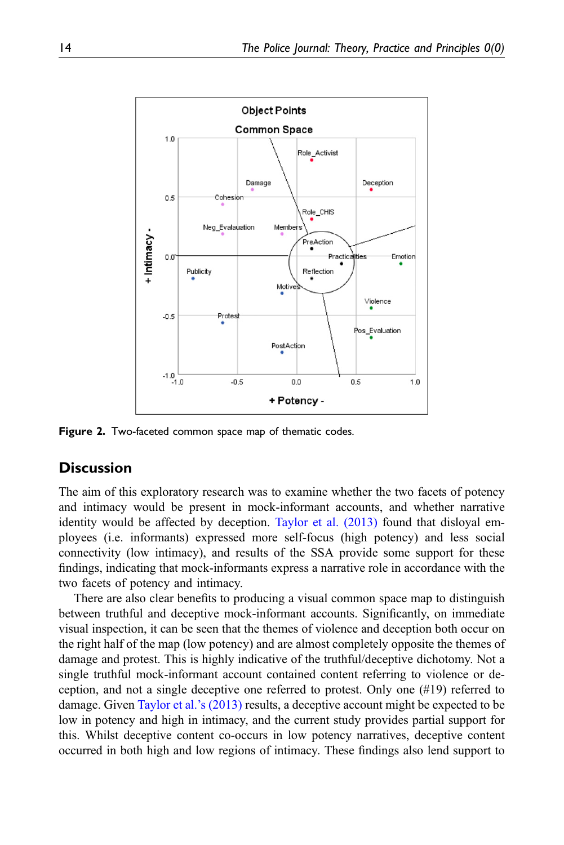

<span id="page-13-0"></span>**Figure 2.** Two-faceted common space map of thematic codes.

# **Discussion**

The aim of this exploratory research was to examine whether the two facets of potency and intimacy would be present in mock-informant accounts, and whether narrative identity would be affected by deception. [Taylor et al. \(2013\)](#page-19-6) found that disloyal employees (i.e. informants) expressed more self-focus (high potency) and less social connectivity (low intimacy), and results of the SSA provide some support for these findings, indicating that mock-informants express a narrative role in accordance with the two facets of potency and intimacy.

There are also clear benefits to producing a visual common space map to distinguish between truthful and deceptive mock-informant accounts. Significantly, on immediate visual inspection, it can be seen that the themes of violence and deception both occur on the right half of the map (low potency) and are almost completely opposite the themes of damage and protest. This is highly indicative of the truthful/deceptive dichotomy. Not a single truthful mock-informant account contained content referring to violence or deception, and not a single deceptive one referred to protest. Only one (#19) referred to damage. Given [Taylor et al.](#page-19-6)'s (2013) results, a deceptive account might be expected to be low in potency and high in intimacy, and the current study provides partial support for this. Whilst deceptive content co-occurs in low potency narratives, deceptive content occurred in both high and low regions of intimacy. These findings also lend support to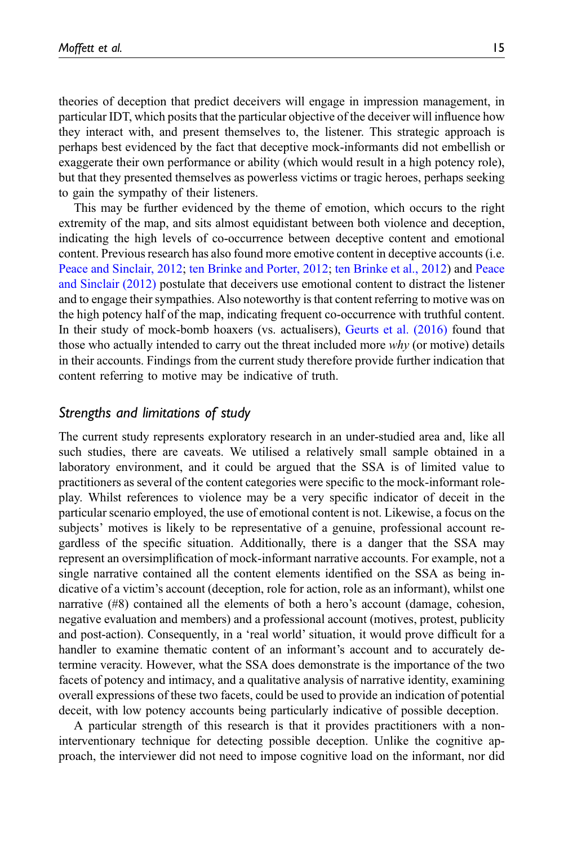theories of deception that predict deceivers will engage in impression management, in particular IDT, which posits that the particular objective of the deceiver will influence how they interact with, and present themselves to, the listener. This strategic approach is perhaps best evidenced by the fact that deceptive mock-informants did not embellish or exaggerate their own performance or ability (which would result in a high potency role), but that they presented themselves as powerless victims or tragic heroes, perhaps seeking to gain the sympathy of their listeners.

This may be further evidenced by the theme of emotion, which occurs to the right extremity of the map, and sits almost equidistant between both violence and deception, indicating the high levels of co-occurrence between deceptive content and emotional content. Previous research has also found more emotive content in deceptive accounts (i.e. [Peace and Sinclair, 2012](#page-18-16); [ten Brinke and Porter, 2012;](#page-19-12) [ten Brinke et al., 2012\)](#page-19-13) and [Peace](#page-18-16) [and Sinclair \(2012\)](#page-18-16) postulate that deceivers use emotional content to distract the listener and to engage their sympathies. Also noteworthy is that content referring to motive was on the high potency half of the map, indicating frequent co-occurrence with truthful content. In their study of mock-bomb hoaxers (vs. actualisers), [Geurts et al. \(2016\)](#page-17-15) found that those who actually intended to carry out the threat included more  $why$  (or motive) details in their accounts. Findings from the current study therefore provide further indication that content referring to motive may be indicative of truth.

# Strengths and limitations of study

The current study represents exploratory research in an under-studied area and, like all such studies, there are caveats. We utilised a relatively small sample obtained in a laboratory environment, and it could be argued that the SSA is of limited value to practitioners as several of the content categories were specific to the mock-informant roleplay. Whilst references to violence may be a very specific indicator of deceit in the particular scenario employed, the use of emotional content is not. Likewise, a focus on the subjects' motives is likely to be representative of a genuine, professional account regardless of the specific situation. Additionally, there is a danger that the SSA may represent an oversimplification of mock-informant narrative accounts. For example, not a single narrative contained all the content elements identified on the SSA as being indicative of a victim's account (deception, role for action, role as an informant), whilst one narrative (#8) contained all the elements of both a hero's account (damage, cohesion, negative evaluation and members) and a professional account (motives, protest, publicity and post-action). Consequently, in a 'real world' situation, it would prove difficult for a handler to examine thematic content of an informant's account and to accurately determine veracity. However, what the SSA does demonstrate is the importance of the two facets of potency and intimacy, and a qualitative analysis of narrative identity, examining overall expressions of these two facets, could be used to provide an indication of potential deceit, with low potency accounts being particularly indicative of possible deception.

A particular strength of this research is that it provides practitioners with a noninterventionary technique for detecting possible deception. Unlike the cognitive approach, the interviewer did not need to impose cognitive load on the informant, nor did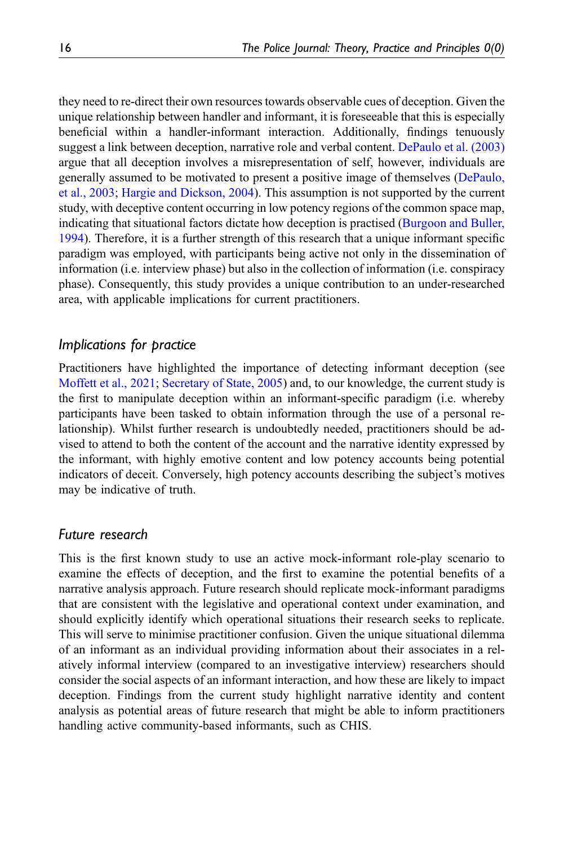they need to re-direct their own resources towards observable cues of deception. Given the unique relationship between handler and informant, it is foreseeable that this is especially beneficial within a handler-informant interaction. Additionally, findings tenuously suggest a link between deception, narrative role and verbal content. [DePaulo et al. \(2003\)](#page-17-5) argue that all deception involves a misrepresentation of self, however, individuals are generally assumed to be motivated to present a positive image of themselves ([DePaulo,](#page-17-5) [et al., 2003](#page-17-5); [Hargie and Dickson, 2004](#page-17-16)). This assumption is not supported by the current study, with deceptive content occurring in low potency regions of the common space map, indicating that situational factors dictate how deception is practised ([Burgoon and Buller,](#page-16-4) [1994\)](#page-16-4). Therefore, it is a further strength of this research that a unique informant specific paradigm was employed, with participants being active not only in the dissemination of information (i.e. interview phase) but also in the collection of information (i.e. conspiracy phase). Consequently, this study provides a unique contribution to an under-researched area, with applicable implications for current practitioners.

# Implications for practice

Practitioners have highlighted the importance of detecting informant deception (see [Moffett et al., 2021](#page-18-3); [Secretary of State, 2005](#page-18-2)) and, to our knowledge, the current study is the first to manipulate deception within an informant-specific paradigm (i.e. whereby participants have been tasked to obtain information through the use of a personal relationship). Whilst further research is undoubtedly needed, practitioners should be advised to attend to both the content of the account and the narrative identity expressed by the informant, with highly emotive content and low potency accounts being potential indicators of deceit. Conversely, high potency accounts describing the subject's motives may be indicative of truth.

#### Future research

This is the first known study to use an active mock-informant role-play scenario to examine the effects of deception, and the first to examine the potential benefits of a narrative analysis approach. Future research should replicate mock-informant paradigms that are consistent with the legislative and operational context under examination, and should explicitly identify which operational situations their research seeks to replicate. This will serve to minimise practitioner confusion. Given the unique situational dilemma of an informant as an individual providing information about their associates in a relatively informal interview (compared to an investigative interview) researchers should consider the social aspects of an informant interaction, and how these are likely to impact deception. Findings from the current study highlight narrative identity and content analysis as potential areas of future research that might be able to inform practitioners handling active community-based informants, such as CHIS.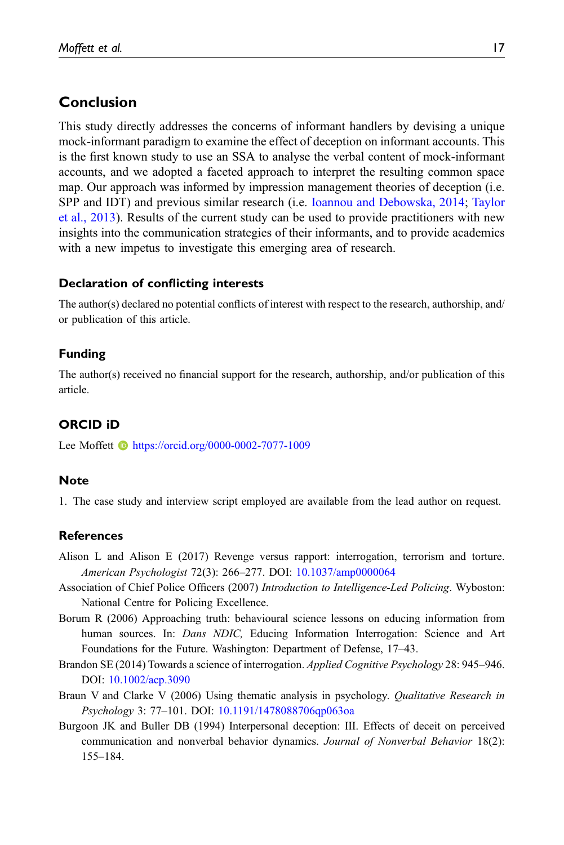# Conclusion

This study directly addresses the concerns of informant handlers by devising a unique mock-informant paradigm to examine the effect of deception on informant accounts. This is the first known study to use an SSA to analyse the verbal content of mock-informant accounts, and we adopted a faceted approach to interpret the resulting common space map. Our approach was informed by impression management theories of deception (i.e. SPP and IDT) and previous similar research (i.e. [Ioannou and Debowska, 2014;](#page-18-13) [Taylor](#page-19-6) [et al., 2013\)](#page-19-6). Results of the current study can be used to provide practitioners with new insights into the communication strategies of their informants, and to provide academics with a new impetus to investigate this emerging area of research.

# Declaration of conflicting interests

The author(s) declared no potential conflicts of interest with respect to the research, authorship, and/ or publication of this article.

# Funding

The author(s) received no financial support for the research, authorship, and/or publication of this article.

# ORCID iD

Lee Moffett **b** <https://orcid.org/0000-0002-7077-1009>

#### <span id="page-16-5"></span>**Note**

1. The case study and interview script employed are available from the lead author on request.

# <span id="page-16-1"></span>**References**

- <span id="page-16-3"></span>Alison L and Alison E (2017) Revenge versus rapport: interrogation, terrorism and torture. American Psychologist 72(3): 266–277. DOI: [10.1037/amp0000064](https://doi.org/10.1037/amp0000064)
- <span id="page-16-0"></span>Association of Chief Police Officers (2007) Introduction to Intelligence-Led Policing. Wyboston: National Centre for Policing Excellence.
- <span id="page-16-2"></span>Borum R (2006) Approaching truth: behavioural science lessons on educing information from human sources. In: *Dans NDIC*, Educing Information Interrogation: Science and Art Foundations for the Future. Washington: Department of Defense, 17–43.
- <span id="page-16-6"></span>Brandon SE (2014) Towards a science of interrogation. Applied Cognitive Psychology 28: 945–946. DOI: [10.1002/acp.3090](https://doi.org/10.1002/acp.3090)
- <span id="page-16-4"></span>Braun V and Clarke V (2006) Using thematic analysis in psychology. Qualitative Research in Psychology 3: 77–101. DOI: [10.1191/1478088706qp063oa](https://doi.org/10.1191/1478088706qp063oa)
- Burgoon JK and Buller DB (1994) Interpersonal deception: III. Effects of deceit on perceived communication and nonverbal behavior dynamics. Journal of Nonverbal Behavior 18(2): 155–184.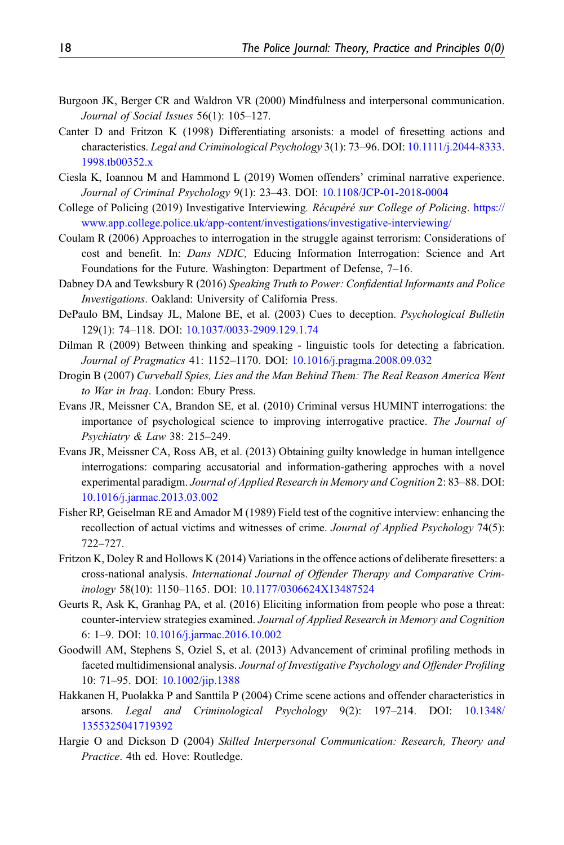- <span id="page-17-7"></span>Burgoon JK, Berger CR and Waldron VR (2000) Mindfulness and interpersonal communication. Journal of Social Issues 56(1): 105–127.
- <span id="page-17-9"></span>Canter D and Fritzon K (1998) Differentiating arsonists: a model of firesetting actions and characteristics. Legal and Criminological Psychology 3(1): 73–96. DOI: [10.1111/j.2044-8333.](https://doi.org/10.1111/j.2044-8333.1998.tb00352.x) [1998.tb00352.x](https://doi.org/10.1111/j.2044-8333.1998.tb00352.x)
- <span id="page-17-13"></span>Ciesla K, Ioannou M and Hammond L (2019) Women offenders' criminal narrative experience. Journal of Criminal Psychology 9(1): 23–43. DOI: [10.1108/JCP-01-2018-0004](https://doi.org/10.1108/JCP-01-2018-0004)
- <span id="page-17-14"></span>College of Policing (2019) Investigative Interviewing. Récupéré sur College of Policing. [https://](https://www.app.college.police.uk/app-content/investigations/investigative-interviewing/) [www.app.college.police.uk/app-content/investigations/investigative-interviewing/](https://www.app.college.police.uk/app-content/investigations/investigative-interviewing/)
- <span id="page-17-1"></span>Coulam R (2006) Approaches to interrogation in the struggle against terrorism: Considerations of cost and benefit. In: Dans NDIC, Educing Information Interrogation: Science and Art Foundations for the Future. Washington: Department of Defense, 7–16.
- <span id="page-17-6"></span>Dabney DA and Tewksbury R (2016) Speaking Truth to Power: Confidential Informants and Police Investigations. Oakland: University of California Press.
- <span id="page-17-5"></span>DePaulo BM, Lindsay JL, Malone BE, et al. (2003) Cues to deception. Psychological Bulletin 129(1): 74–118. DOI: [10.1037/0033-2909.129.1.74](https://doi.org/10.1037/0033-2909.129.1.74)
- <span id="page-17-8"></span>Dilman R (2009) Between thinking and speaking - linguistic tools for detecting a fabrication. Journal of Pragmatics 41: 1152–1170. DOI: [10.1016/j.pragma.2008.09.032](https://doi.org/10.1016/j.pragma.2008.09.032)
- <span id="page-17-0"></span>Drogin B (2007) Curveball Spies, Lies and the Man Behind Them: The Real Reason America Went to War in Iraq. London: Ebury Press.
- <span id="page-17-2"></span>Evans JR, Meissner CA, Brandon SE, et al. (2010) Criminal versus HUMINT interrogations: the importance of psychological science to improving interrogative practice. The Journal of Psychiatry & Law 38: 215–249.
- <span id="page-17-4"></span>Evans JR, Meissner CA, Ross AB, et al. (2013) Obtaining guilty knowledge in human intellgence interrogations: comparing accusatorial and information-gathering approches with a novel experimental paradigm. Journal of Applied Research in Memory and Cognition 2: 83–88. DOI: [10.1016/j.jarmac.2013.03.002](https://doi.org/10.1016/j.jarmac.2013.03.002)
- <span id="page-17-3"></span>Fisher RP, Geiselman RE and Amador M (1989) Field test of the cognitive interview: enhancing the recollection of actual victims and witnesses of crime. Journal of Applied Psychology 74(5): 722–727.
- <span id="page-17-10"></span>Fritzon K, Doley R and Hollows K (2014) Variations in the offence actions of deliberate firesetters: a cross-national analysis. International Journal of Offender Therapy and Comparative Criminology 58(10): 1150–1165. DOI: [10.1177/0306624X13487524](https://doi.org/10.1177/0306624X13487524)
- <span id="page-17-15"></span>Geurts R, Ask K, Granhag PA, et al. (2016) Eliciting information from people who pose a threat: counter-interview strategies examined. Journal of Applied Research in Memory and Cognition 6: 1–9. DOI: [10.1016/j.jarmac.2016.10.002](https://doi.org/10.1016/j.jarmac.2016.10.002)
- <span id="page-17-11"></span>Goodwill AM, Stephens S, Oziel S, et al. (2013) Advancement of criminal profiling methods in faceted multidimensional analysis. Journal of Investigative Psychology and Offender Profiling 10: 71–95. DOI: [10.1002/jip.1388](https://doi.org/10.1002/jip.1388)
- <span id="page-17-12"></span>Hakkanen H, Puolakka P and Santtila P (2004) Crime scene actions and offender characteristics in arsons. Legal and Criminological Psychology 9(2): 197–214. DOI: [10.1348/](https://doi.org/10.1348/1355325041719392) [1355325041719392](https://doi.org/10.1348/1355325041719392)
- <span id="page-17-16"></span>Hargie O and Dickson D (2004) Skilled Interpersonal Communication: Research, Theory and Practice. 4th ed. Hove: Routledge.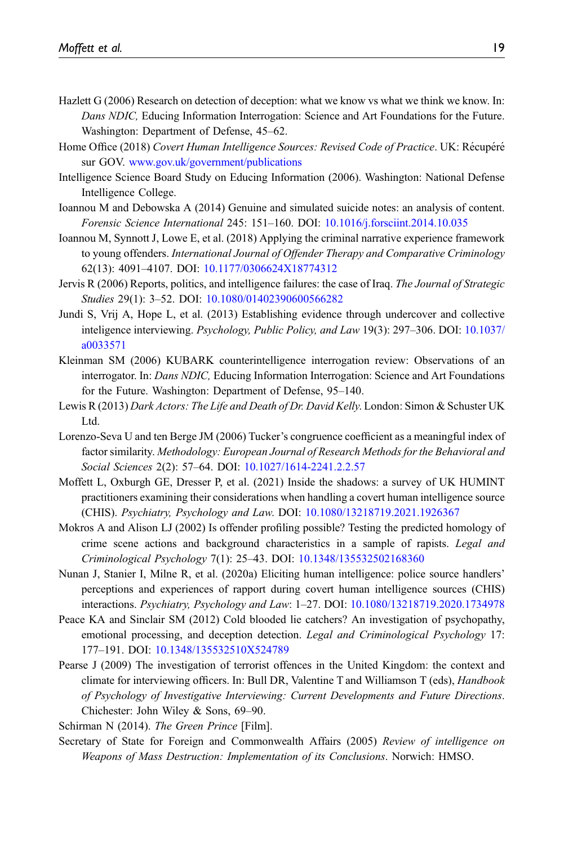- <span id="page-18-11"></span>Hazlett G (2006) Research on detection of deception: what we know vs what we think we know. In: Dans NDIC, Educing Information Interrogation: Science and Art Foundations for the Future. Washington: Department of Defense, 45–62.
- <span id="page-18-4"></span>Home Office (2018) Covert Human Intelligence Sources: Revised Code of Practice. UK: Récupéré sur GOV. [www.gov.uk/government/publications](http://www.gov.uk/government/publications)
- <span id="page-18-6"></span>Intelligence Science Board Study on Educing Information (2006). Washington: National Defense Intelligence College.
- <span id="page-18-13"></span>Ioannou M and Debowska A (2014) Genuine and simulated suicide notes: an analysis of content. Forensic Science International 245: 151–160. DOI: [10.1016/j.forsciint.2014.10.035](https://doi.org/10.1016/j.forsciint.2014.10.035)
- <span id="page-18-14"></span>Ioannou M, Synnott J, Lowe E, et al. (2018) Applying the criminal narrative experience framework to young offenders. International Journal of Offender Therapy and Comparative Criminology 62(13): 4091–4107. DOI: [10.1177/0306624X18774312](https://doi.org/10.1177/0306624X18774312)
- <span id="page-18-1"></span>Jervis R (2006) Reports, politics, and intelligence failures: the case of Iraq. The Journal of Strategic Studies 29(1): 3–52. DOI: [10.1080/01402390600566282](https://doi.org/10.1080/01402390600566282)
- <span id="page-18-7"></span>Jundi S, Vrij A, Hope L, et al. (2013) Establishing evidence through undercover and collective inteligence interviewing. Psychology, Public Policy, and Law 19(3): 297–306. DOI: [10.1037/](https://doi.org/10.1037/a0033571) [a0033571](https://doi.org/10.1037/a0033571)
- <span id="page-18-8"></span>Kleinman SM (2006) KUBARK counterintelligence interrogation review: Observations of an interrogator. In: Dans NDIC, Educing Information Interrogation: Science and Art Foundations for the Future. Washington: Department of Defense, 95–140.
- <span id="page-18-0"></span>Lewis R (2013) Dark Actors: The Life and Death of Dr. David Kelly. London: Simon & Schuster UK Ltd.
- <span id="page-18-15"></span>Lorenzo-Seva U and ten Berge JM (2006) Tucker's congruence coefficient as a meaningful index of factor similarity. Methodology: European Journal of Research Methods for the Behavioral and Social Sciences 2(2): 57–64. DOI: [10.1027/1614-2241.2.2.57](https://doi.org/10.1027/1614-2241.2.2.57)
- <span id="page-18-3"></span>Moffett L, Oxburgh GE, Dresser P, et al. (2021) Inside the shadows: a survey of UK HUMINT practitioners examining their considerations when handling a covert human intelligence source (CHIS). Psychiatry, Psychology and Law. DOI: [10.1080/13218719.2021.1926367](https://doi.org/10.1080/13218719.2021.1926367)
- <span id="page-18-12"></span>Mokros A and Alison LJ (2002) Is offender profiling possible? Testing the predicted homology of crime scene actions and background characteristics in a sample of rapists. Legal and Criminological Psychology 7(1): 25–43. DOI: [10.1348/135532502168360](https://doi.org/10.1348/135532502168360)
- <span id="page-18-9"></span>Nunan J, Stanier I, Milne R, et al. (2020a) Eliciting human intelligence: police source handlers' perceptions and experiences of rapport during covert human intelligence sources (CHIS) interactions. Psychiatry, Psychology and Law: 1–27. DOI: [10.1080/13218719.2020.1734978](https://doi.org/10.1080/13218719.2020.1734978)
- <span id="page-18-16"></span>Peace KA and Sinclair SM (2012) Cold blooded lie catchers? An investigation of psychopathy, emotional processing, and deception detection. Legal and Criminological Psychology 17: 177–191. DOI: [10.1348/135532510X524789](https://doi.org/10.1348/135532510X524789)
- <span id="page-18-5"></span>Pearse J (2009) The investigation of terrorist offences in the United Kingdom: the context and climate for interviewing officers. In: Bull DR, Valentine T and Williamson T (eds), Handbook of Psychology of Investigative Interviewing: Current Developments and Future Directions. Chichester: John Wiley & Sons, 69–90.

<span id="page-18-10"></span><span id="page-18-2"></span>Schirman N (2014). The Green Prince [Film].

Secretary of State for Foreign and Commonwealth Affairs (2005) Review of intelligence on Weapons of Mass Destruction: Implementation of its Conclusions. Norwich: HMSO.